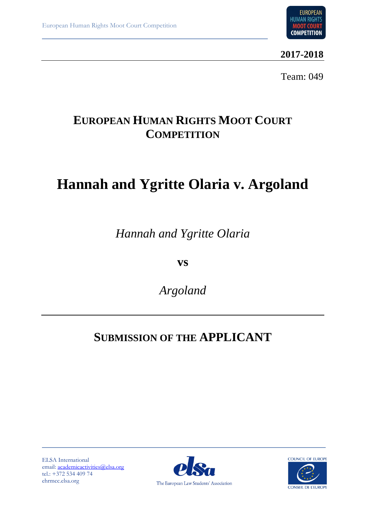

**2017-2018**

Team: 049

# **EUROPEAN HUMAN RIGHTS MOOT COURT COMPETITION**

# **Hannah and Ygritte Olaria v. Argoland**

*Hannah and Ygritte Olaria*

**vs**

*Argoland*

# **SUBMISSION OF THE APPLICANT**

ELSA International email: [academicactivities@elsa.org](mailto:academicactivities@elsa.org) tel.: +372 534 409 74 ehrmcc.elsa.org



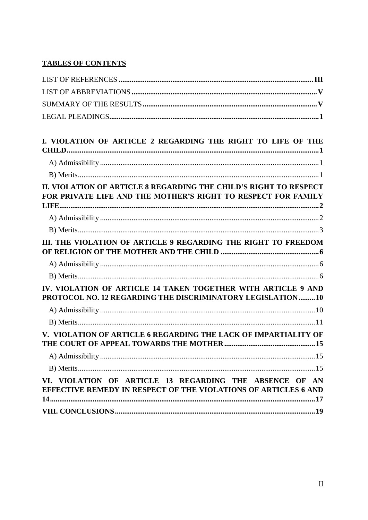# **TABLES OF CONTENTS**

| I. VIOLATION OF ARTICLE 2 REGARDING THE RIGHT TO LIFE OF THE                                                                       |  |
|------------------------------------------------------------------------------------------------------------------------------------|--|
|                                                                                                                                    |  |
|                                                                                                                                    |  |
|                                                                                                                                    |  |
| II. VIOLATION OF ARTICLE 8 REGARDING THE CHILD'S RIGHT TO RESPECT<br>FOR PRIVATE LIFE AND THE MOTHER'S RIGHT TO RESPECT FOR FAMILY |  |
|                                                                                                                                    |  |
|                                                                                                                                    |  |
| III. THE VIOLATION OF ARTICLE 9 REGARDING THE RIGHT TO FREEDOM                                                                     |  |
|                                                                                                                                    |  |
|                                                                                                                                    |  |
|                                                                                                                                    |  |
| IV. VIOLATION OF ARTICLE 14 TAKEN TOGETHER WITH ARTICLE 9 AND<br>PROTOCOL NO. 12 REGARDING THE DISCRIMINATORY LEGISLATION10        |  |
|                                                                                                                                    |  |
|                                                                                                                                    |  |
| V. VIOLATION OF ARTICLE 6 REGARDING THE LACK OF IMPARTIALITY OF                                                                    |  |
|                                                                                                                                    |  |
|                                                                                                                                    |  |
| VI. VIOLATION OF ARTICLE 13 REGARDING THE ABSENCE OF AN                                                                            |  |
| EFFECTIVE REMEDY IN RESPECT OF THE VIOLATIONS OF ARTICLES 6 AND                                                                    |  |
|                                                                                                                                    |  |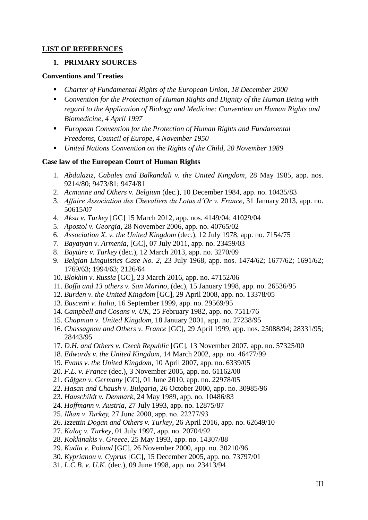# <span id="page-2-0"></span>**LIST OF REFERENCES**

### **1. PRIMARY SOURCES**

#### **Conventions and Treaties**

- *Charter of Fundamental Rights of the European Union, 18 December 2000*
- *Convention for the Protection of Human Rights and Dignity of the Human Being with regard to the Application of Biology and Medicine: Convention on Human Rights and Biomedicine, 4 April 1997*
- *European Convention for the Protection of Human Rights and Fundamental Freedoms, Council of Europe, 4 November 1950*
- *United Nations Convention on the Rights of the Child, 20 November 1989*

#### **Case law of the European Court of Human Rights**

- 1. *Abdulaziz, Cabales and Balkandali v. the United Kingdom*, 28 May 1985, app. nos. 9214/80; 9473/81; 9474/81
- 2. *Acmanne and Others v. Belgium* (dec.), 10 December 1984, app. no. 10435/83
- 3. *Affaire Association des Chevaliers du Lotus d'Or v. France*, 31 January 2013, app. no. 50615/07
- 4. *Aksu v. Turkey* [GC] 15 March 2012, app. nos. 4149/04; 41029/04
- 5. *Apostol v. Georgia*, 28 November 2006, app. no. 40765/02
- 6. *Association X. v. the United Kingdom* (dec.), 12 July 1978, app. no. 7154/75
- 7. *Bayatyan v. Armenia*, [GC], 07 July 2011, app. no. 23459/03
- 8. *Baytüre v. Turkey* (dec.), 12 March 2013, app. no. 3270/09
- 9. *Belgian Linguistics Case No. 2*, 23 July 1968, app. nos. 1474/62; 1677/62; 1691/62; 1769/63; 1994/63; 2126/64
- 10. *Blokhin v. Russia* [GC], 23 March 2016, app. no. 47152/06
- 11. *Boffa and 13 others v. San Marino*, (dec), 15 January 1998, app. no. 26536/95
- 12. *Burden v. the United Kingdom* [GC], 29 April 2008, app. no. 13378/05
- 13. *Buscemi v. Italia*, 16 September 1999, app. no. 29569/95
- 14. *Campbell and Cosans v. UK*, 25 February 1982, app. no. 7511/76
- 15. *Chapman v. United Kingdom,* 18 January 2001, app. no. 27238/95
- 16. *Chassagnou and Others v. France* [GC], 29 April 1999, app. nos. 25088/94; 28331/95; 28443/95
- 17. *D.H. and Others v. Czech Republic* [GC], 13 November 2007, app. no. 57325/00
- 18. *Edwards v. the United Kingdom*, 14 March 2002, app. no. 46477/99
- 19. *Evans v. the United Kingdom*, 10 April 2007, app. no. 6339/05
- 20. *F.L. v. France* (dec.), 3 November 2005, app. no. 61162/00
- 21. *Gäfgen v. Germany* [GC], 01 June 2010, app. no. 22978/05
- 22. *Hasan and Chaush v. Bulgaria*, 26 October 2000, app. no. 30985/96
- 23. *Hauschildt v. Denmark*, 24 May 1989, app. no. 10486/83
- 24. *Hoffmann v. Austria*, 27 July 1993, app. no. 12875/87
- 25. *Ilhan v. Turkey,* 27 June 2000, app. no. 22277/93
- 26. *Izzettin Dogan and Others v. Turkey*, 26 April 2016, app. no. 62649/10
- 27. *Kalaç v. Turkey*, 01 July 1997, app. no. 20704/92
- 28. *Kokkinakis v. Greece*, 25 May 1993, app. no. 14307/88
- 29. *Kudla v. Poland* [GC], 26 November 2000, app. no. 30210/96
- 30. *Kyprianou v. Cyprus* [GC], 15 December 2005, app. no. 73797/01
- 31. *L.C.B. v. U.K.* (dec.), 09 June 1998, app. no. 23413/94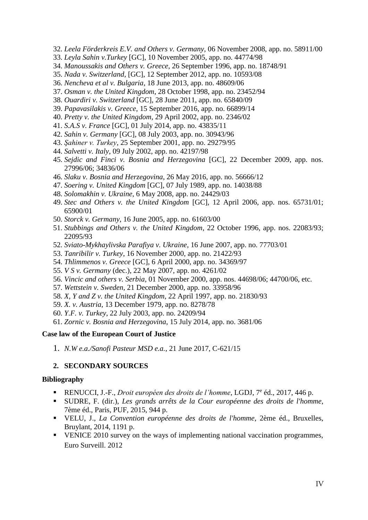- 32. *Leela Förderkreis E.V. and Others v. Germany,* 06 November 2008, app. no. 58911/00
- 33. *Leyla Sahin v.Turkey* [GC], 10 November 2005, app. no. 44774/98
- 34. *Manoussakis and Others v. Greece*, 26 September 1996, app. no. 18748/91
- 35. *Nada v. Switzerland*, [GC], 12 September 2012, app. no. 10593/08
- 36. *Nencheva et al v. Bulgaria*, 18 June 2013, app. no. 48609/06
- 37. *Osman v. the United Kingdom*, 28 October 1998, app. no. 23452/94
- 38. *Ouardiri v. Switzerland* [GC], 28 June 2011, app. no. 65840/09
- 39. *Papavasilakis v. Greece*, 15 September 2016, app. no. 66899/14
- 40. *Pretty v. the United Kingdom*, 29 April 2002, app. no. 2346/02
- 41. *S.A.S v. France* [GC], 01 July 2014, app. no. 43835/11
- 42. *Sahin v. Germany* [GC], 08 July 2003, app. no. 30943/96
- 43. *Şahiner v. Turkey*, 25 September 2001, app. no. 29279/95
- 44. *Salvetti v. Italy*, 09 July 2002, app. no. 42197/98
- 45. *Sejdic and Finci v. Bosnia and Herzegovina* [GC], 22 December 2009, app. nos. 27996/06; 34836/06
- 46. *Slaku v. Bosnia and Herzegovina*, 26 May 2016, app. no. 56666/12
- 47. *Soering v. United Kingdom* [GC], 07 July 1989, app. no. 14038/88
- 48. *Solomakhin v. Ukraine*, 6 May 2008, app. no. 24429/03
- 49. *Stec and Others v. the United Kingdom* [GC], 12 April 2006, app. nos. 65731/01; 65900/01
- 50. *Storck v. Germany*, 16 June 2005, app. no. 61603/00
- 51. *Stubbings and Others v. the United Kingdom*, 22 October 1996, app. nos. 22083/93; 22095/93
- 52. *Sviato-Mykhaylivska Parafiya v. Ukraine*, 16 June 2007, app. no. 77703/01
- 53. *Tanribilir v. Turkey*, 16 November 2000, app. no. 21422/93
- 54. *Thlimmenos v. Greece* [GC], 6 April 2000, app. no. 34369/97
- 55. *V S v. Germany* (dec.), 22 May 2007, app. no. 4261/02
- 56. *Vincic and others v. Serbia*, 01 November 2000, app. nos. 44698/06; 44700/06, etc.
- 57. *Wettstein v. Sweden*, 21 December 2000, app. no. 33958/96
- 58. *X, Y and Z v. the United Kingdom*, 22 April 1997, app. no. 21830/93
- 59. *X. v. Austria*, 13 December 1979, app. no. 8278/78
- 60. *Y.F. v. Turkey*, 22 July 2003, app. no. 24209/94
- 61. *Zornic v. Bosnia and Herzegovina*, 15 July 2014, app. no. 3681/06

#### **Case law of the European Court of Justice**

1. *N.W e.a./Sanofi Pasteur MSD e.a.*, 21 June 2017, C-621/15

#### **2. SECONDARY SOURCES**

#### **Bibliography**

- **ENUCCI, J.-F.,** *Droit européen des droits de l'homme***, LGDJ, 7<sup>e</sup> éd., 2017, 446 p.**
- SUDRE, F. (dir.), *Les grands arrêts de la Cour européenne des droits de l'homme*, 7ème éd., Paris, PUF, 2015, 944 p.
- VELU, J., *La Convention européenne des droits de l'homme*, 2ème éd., Bruxelles, Bruylant, 2014, 1191 p.
- VENICE 2010 survey on the ways of implementing national vaccination programmes, Euro Surveill. 2012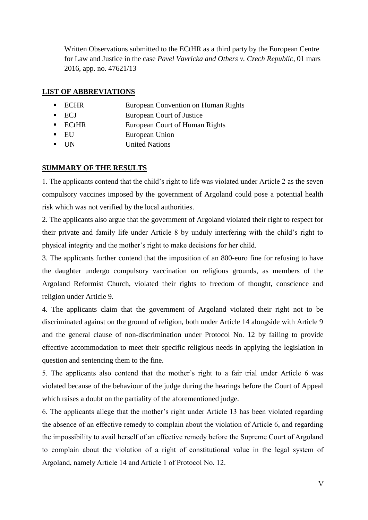Written Observations submitted to the ECtHR as a third party by the European Centre for Law and Justice in the case *Pavel Vavricka and Others v. Czech Republic*, 01 mars 2016, app. no. 47621/13

## <span id="page-4-0"></span>**LIST OF ABBREVIATIONS**

- ECHR European Convention on Human Rights
- ECJ European Court of Justice
- ECtHR European Court of Human Rights
- EU European Union
- UN United Nations

# <span id="page-4-1"></span>**SUMMARY OF THE RESULTS**

1. The applicants contend that the child's right to life was violated under Article 2 as the seven compulsory vaccines imposed by the government of Argoland could pose a potential health risk which was not verified by the local authorities.

2. The applicants also argue that the government of Argoland violated their right to respect for their private and family life under Article 8 by unduly interfering with the child's right to physical integrity and the mother's right to make decisions for her child.

3. The applicants further contend that the imposition of an 800-euro fine for refusing to have the daughter undergo compulsory vaccination on religious grounds, as members of the Argoland Reformist Church, violated their rights to freedom of thought, conscience and religion under Article 9.

4. The applicants claim that the government of Argoland violated their right not to be discriminated against on the ground of religion, both under Article 14 alongside with Article 9 and the general clause of non-discrimination under Protocol No. 12 by failing to provide effective accommodation to meet their specific religious needs in applying the legislation in question and sentencing them to the fine.

5. The applicants also contend that the mother's right to a fair trial under Article 6 was violated because of the behaviour of the judge during the hearings before the Court of Appeal which raises a doubt on the partiality of the aforementioned judge.

6. The applicants allege that the mother's right under Article 13 has been violated regarding the absence of an effective remedy to complain about the violation of Article 6, and regarding the impossibility to avail herself of an effective remedy before the Supreme Court of Argoland to complain about the violation of a right of constitutional value in the legal system of Argoland, namely Article 14 and Article 1 of Protocol No. 12.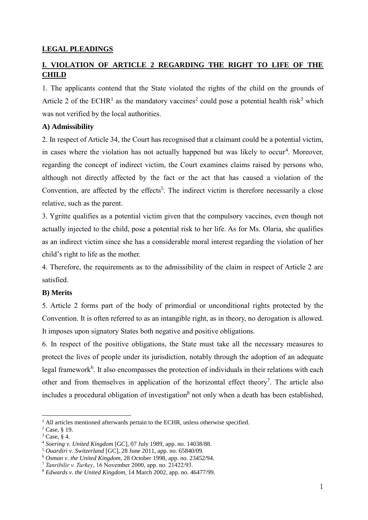#### <span id="page-5-0"></span>**LEGAL PLEADINGS**

# <span id="page-5-1"></span>**I. VIOLATION OF ARTICLE 2 REGARDING THE RIGHT TO LIFE OF THE CHILD**

1. The applicants contend that the State violated the rights of the child on the grounds of Article 2 of the ECHR<sup>1</sup> as the mandatory vaccines<sup>2</sup> could pose a potential health risk<sup>3</sup> which was not verified by the local authorities.

#### <span id="page-5-2"></span>**A) Admissibility**

2. In respect of Article 34, the Court has recognised that a claimant could be a potential victim, in cases where the violation has not actually happened but was likely to occur<sup>4</sup>. Moreover, regarding the concept of indirect victim, the Court examines claims raised by persons who, although not directly affected by the fact or the act that has caused a violation of the Convention, are affected by the effects<sup>5</sup>. The indirect victim is therefore necessarily a close relative, such as the parent.

3. Ygritte qualifies as a potential victim given that the compulsory vaccines, even though not actually injected to the child, pose a potential risk to her life. As for Ms. Olaria, she qualifies as an indirect victim since she has a considerable moral interest regarding the violation of her child's right to life as the mother.

4. Therefore, the requirements as to the admissibility of the claim in respect of Article 2 are satisfied.

#### <span id="page-5-3"></span>**B) Merits**

5. Article 2 forms part of the body of primordial or unconditional rights protected by the Convention. It is often referred to as an intangible right, as in theory, no derogation is allowed. It imposes upon signatory States both negative and positive obligations.

6. In respect of the positive obligations, the State must take all the necessary measures to protect the lives of people under its jurisdiction, notably through the adoption of an adequate legal framework<sup>6</sup>. It also encompasses the protection of individuals in their relations with each other and from themselves in application of the horizontal effect theory<sup>7</sup>. The article also includes a procedural obligation of investigation<sup>8</sup> not only when a death has been established,

<sup>&</sup>lt;sup>1</sup> All articles mentioned afterwards pertain to the ECHR, unless otherwise specified.

<sup>2</sup> Case*,* § 19.

<sup>3</sup> Case, § 4.

<sup>4</sup> *Soering v. United Kingdom* [GC], 07 July 1989, app. no. 14038/88.

<sup>5</sup> *Ouardiri v. Switzerland* [GC], 28 June 2011, app. no. 65840/09.

<sup>6</sup> *Osman v. the United Kingdom*, 28 October 1998, app. no. 23452/94.

<sup>7</sup> *Tanribilir v. Turkey*, 16 November 2000, app. no. 21422/93.

<sup>8</sup> *Edwards v. the United Kingdom*, 14 March 2002, app. no. 46477/99.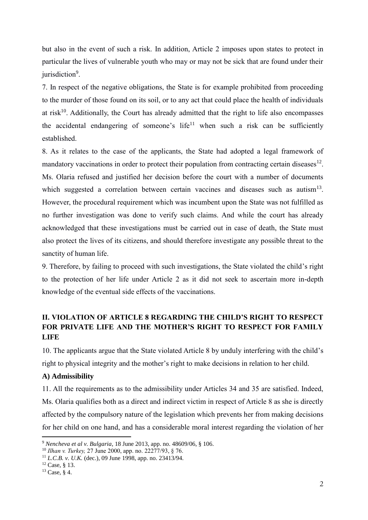but also in the event of such a risk. In addition, Article 2 imposes upon states to protect in particular the lives of vulnerable youth who may or may not be sick that are found under their jurisdiction<sup>9</sup>.

7. In respect of the negative obligations, the State is for example prohibited from proceeding to the murder of those found on its soil, or to any act that could place the health of individuals at risk<sup>10</sup>. Additionally, the Court has already admitted that the right to life also encompasses the accidental endangering of someone's life<sup>11</sup> when such a risk can be sufficiently established.

8. As it relates to the case of the applicants, the State had adopted a legal framework of mandatory vaccinations in order to protect their population from contracting certain diseases<sup>12</sup>. Ms. Olaria refused and justified her decision before the court with a number of documents which suggested a correlation between certain vaccines and diseases such as autism<sup>13</sup>. However, the procedural requirement which was incumbent upon the State was not fulfilled as no further investigation was done to verify such claims. And while the court has already acknowledged that these investigations must be carried out in case of death, the State must also protect the lives of its citizens, and should therefore investigate any possible threat to the sanctity of human life.

9. Therefore, by failing to proceed with such investigations, the State violated the child's right to the protection of her life under Article 2 as it did not seek to ascertain more in-depth knowledge of the eventual side effects of the vaccinations.

# <span id="page-6-0"></span>**II. VIOLATION OF ARTICLE 8 REGARDING THE CHILD'S RIGHT TO RESPECT FOR PRIVATE LIFE AND THE MOTHER'S RIGHT TO RESPECT FOR FAMILY LIFE**

10. The applicants argue that the State violated Article 8 by unduly interfering with the child's right to physical integrity and the mother's right to make decisions in relation to her child.

#### <span id="page-6-1"></span>**A) Admissibility**

11. All the requirements as to the admissibility under Articles 34 and 35 are satisfied. Indeed, Ms. Olaria qualifies both as a direct and indirect victim in respect of Article 8 as she is directly affected by the compulsory nature of the legislation which prevents her from making decisions for her child on one hand, and has a considerable moral interest regarding the violation of her

<sup>9</sup> *Nencheva et al v. Bulgaria*, 18 June 2013, app. no. 48609/06, § 106.

<sup>10</sup> *Ilhan v. Turkey,* 27 June 2000, app. no. 22277/93, § 76.

<sup>11</sup> *L.C.B. v. U.K.* (dec.), 09 June 1998, app. no. 23413/94*.*

 $12$  Case,  $8$  13.

<sup>13</sup> Case, § 4.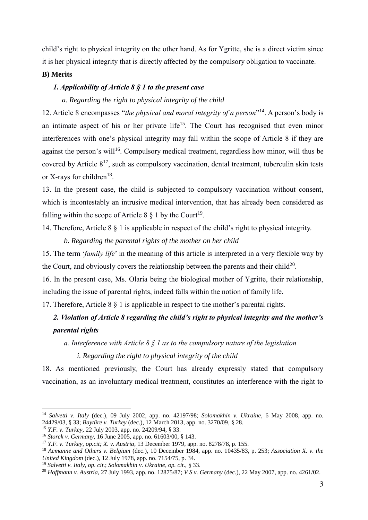child's right to physical integrity on the other hand. As for Ygritte, she is a direct victim since it is her physical integrity that is directly affected by the compulsory obligation to vaccinate.

#### <span id="page-7-0"></span>**B) Merits**

### *1. Applicability of Article 8 § 1 to the present case*

#### *a. Regarding the right to physical integrity of the child*

12. Article 8 encompasses "the physical and moral integrity of a person"<sup>14</sup>. A person's body is an intimate aspect of his or her private life<sup>15</sup>. The Court has recognised that even minor interferences with one's physical integrity may fall within the scope of Article 8 if they are against the person's will<sup>16</sup>. Compulsory medical treatment, regardless how minor, will thus be covered by Article  $8^{17}$ , such as compulsory vaccination, dental treatment, tuberculin skin tests or X-rays for children $^{18}$ .

13. In the present case, the child is subjected to compulsory vaccination without consent, which is incontestably an intrusive medical intervention, that has already been considered as falling within the scope of Article 8  $\S$  1 by the Court<sup>19</sup>.

14. Therefore, Article 8 § 1 is applicable in respect of the child's right to physical integrity.

#### *b. Regarding the parental rights of the mother on her child*

15. The term '*family life*' in the meaning of this article is interpreted in a very flexible way by the Court, and obviously covers the relationship between the parents and their child<sup>20</sup>.

16. In the present case, Ms. Olaria being the biological mother of Ygritte, their relationship, including the issue of parental rights, indeed falls within the notion of family life.

17. Therefore, Article 8 § 1 is applicable in respect to the mother's parental rights.

# *2. Violation of Article 8 regarding the child's right to physical integrity and the mother's parental rights*

*a. Interference with Article 8 § 1 as to the compulsory nature of the legislation*

*i. Regarding the right to physical integrity of the child*

18. As mentioned previously, the Court has already expressly stated that compulsory vaccination, as an involuntary medical treatment, constitutes an interference with the right to

<sup>14</sup> *Salvetti v. Italy* (dec.), 09 July 2002, app. no. 42197/98; *Solomakhin v. Ukraine*, 6 May 2008, app. no. 24429/03, § 33; *Baytüre v. Turkey* (dec.), 12 March 2013, app. no. 3270/09*,* § 28.

<sup>15</sup> *Y.F. v. Turkey*, 22 July 2003, app. no. 24209/94, § 33.

<sup>16</sup> *Storck v. Germany*, 16 June 2005, app. no. 61603/00, § 143.

<sup>17</sup> *Y.F. v. Turkey*, *op.cit; X. v. Austria*, 13 December 1979, app. no. 8278/78, p. 155.

<sup>18</sup> *Acmanne and Others v. Belgium* (dec.), 10 December 1984, app. no. 10435/83, p. 253; *Association X. v. the United Kingdom* (dec.), 12 July 1978, app. no. 7154/75, p. 34.

<sup>19</sup> *Salvetti v. Italy*, *op. cit*.; *Solomakhin v. Ukraine*, *op. cit*., § 33.

<sup>20</sup> *Hoffmann v. Austria*, 27 July 1993, app. no. 12875/87; *V S v. Germany* (dec.), 22 May 2007, app. no. 4261/02.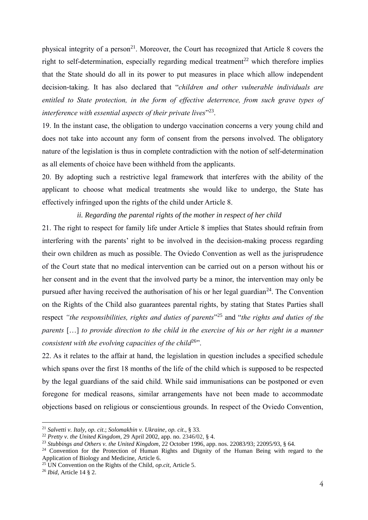physical integrity of a person<sup>21</sup>. Moreover, the Court has recognized that Article 8 covers the right to self-determination, especially regarding medical treatment<sup>22</sup> which therefore implies that the State should do all in its power to put measures in place which allow independent decision-taking. It has also declared that "*children and other vulnerable individuals are entitled to State protection, in the form of effective deterrence, from such grave types of interference with essential aspects of their private lives*" 23 .

19. In the instant case, the obligation to undergo vaccination concerns a very young child and does not take into account any form of consent from the persons involved. The obligatory nature of the legislation is thus in complete contradiction with the notion of self-determination as all elements of choice have been withheld from the applicants.

20. By adopting such a restrictive legal framework that interferes with the ability of the applicant to choose what medical treatments she would like to undergo, the State has effectively infringed upon the rights of the child under Article 8.

#### *ii. Regarding the parental rights of the mother in respect of her child*

21. The right to respect for family life under Article 8 implies that States should refrain from interfering with the parents' right to be involved in the decision-making process regarding their own children as much as possible. The Oviedo Convention as well as the jurisprudence of the Court state that no medical intervention can be carried out on a person without his or her consent and in the event that the involved party be a minor, the intervention may only be pursued after having received the authorisation of his or her legal guardian<sup>24</sup>. The Convention on the Rights of the Child also guarantees parental rights, by stating that States Parties shall respect *"the responsibilities, rights and duties of parents*" <sup>25</sup> and "*the rights and duties of the parents* […] *to provide direction to the child in the exercise of his or her right in a manner consistent with the evolving capacities of the child*<sup>26</sup>".

22. As it relates to the affair at hand, the legislation in question includes a specified schedule which spans over the first 18 months of the life of the child which is supposed to be respected by the legal guardians of the said child. While said immunisations can be postponed or even foregone for medical reasons, similar arrangements have not been made to accommodate objections based on religious or conscientious grounds. In respect of the Oviedo Convention,

<sup>21</sup> *Salvetti v. Italy*, *op. cit*.; *Solomakhin v. Ukraine*, *op. cit*., § 33.

<sup>22</sup> *Pretty v. the United Kingdom*, 29 April 2002, app. no. 2346/02, § 4.

<sup>23</sup> *Stubbings and Others v. the United Kingdom*, 22 October 1996, app. nos. 22083/93; 22095/93, § 64.

<sup>&</sup>lt;sup>24</sup> Convention for the Protection of Human Rights and Dignity of the Human Being with regard to the Application of Biology and Medicine, Article 6.

<sup>25</sup> UN Convention on the Rights of the Child, *op.cit*, Article 5.

<sup>26</sup> *Ibid*, Article 14 § 2.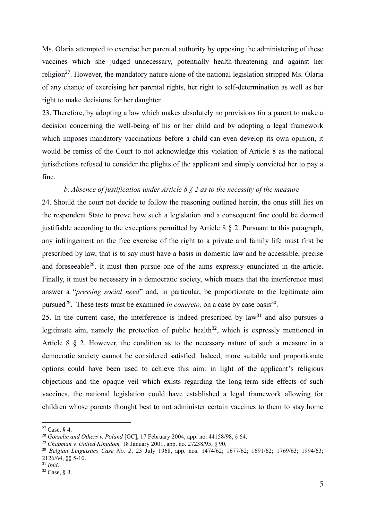Ms. Olaria attempted to exercise her parental authority by opposing the administering of these vaccines which she judged unnecessary, potentially health-threatening and against her religion<sup>27</sup>. However, the mandatory nature alone of the national legislation stripped Ms. Olaria of any chance of exercising her parental rights, her right to self-determination as well as her right to make decisions for her daughter.

23. Therefore, by adopting a law which makes absolutely no provisions for a parent to make a decision concerning the well-being of his or her child and by adopting a legal framework which imposes mandatory vaccinations before a child can even develop its own opinion, it would be remiss of the Court to not acknowledge this violation of Article 8 as the national jurisdictions refused to consider the plights of the applicant and simply convicted her to pay a fine.

### *b. Absence of justification under Article 8 § 2 as to the necessity of the measure*

24. Should the court not decide to follow the reasoning outlined herein, the onus still lies on the respondent State to prove how such a legislation and a consequent fine could be deemed justifiable according to the exceptions permitted by Article 8  $\S$  2. Pursuant to this paragraph, any infringement on the free exercise of the right to a private and family life must first be prescribed by law, that is to say must have a basis in domestic law and be accessible, precise and foreseeable<sup>28</sup>. It must then pursue one of the aims expressly enunciated in the article. Finally, it must be necessary in a democratic society, which means that the interference must answer a "*pressing social need*" and, in particular, be proportionate to the legitimate aim pursued<sup>29</sup>. These tests must be examined *in concreto*, on a case by case basis<sup>30</sup>.

25. In the current case, the interference is indeed prescribed by  $law<sup>31</sup>$  and also pursues a legitimate aim, namely the protection of public health<sup>32</sup>, which is expressly mentioned in Article 8 § 2. However, the condition as to the necessary nature of such a measure in a democratic society cannot be considered satisfied. Indeed, more suitable and proportionate options could have been used to achieve this aim: in light of the applicant's religious objections and the opaque veil which exists regarding the long-term side effects of such vaccines, the national legislation could have established a legal framework allowing for children whose parents thought best to not administer certain vaccines to them to stay home

 $27$  Case, § 4.

<sup>28</sup> *Gorzelic and Others v. Poland* [GC], 17 February 2004, app. no. 44158/98, § 64.

<sup>29</sup> *Chapman v. United Kingdom,* 18 January 2001, app. no. 27238/95, § 90.

<sup>30</sup> *Belgian Linguistics Case No. 2*, 23 July 1968, app. nos. 1474/62; 1677/62; 1691/62; 1769/63; 1994/63; 2126/64, §§ 5-10.

<sup>31</sup> *Ibid*.

<sup>32</sup> Case, § 3.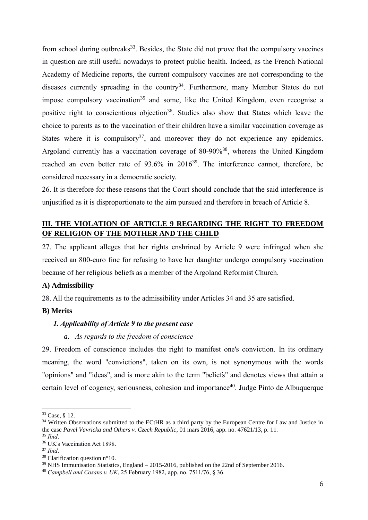from school during outbreaks<sup>33</sup>. Besides, the State did not prove that the compulsory vaccines in question are still useful nowadays to protect public health. Indeed, as the French National Academy of Medicine reports, the current compulsory vaccines are not corresponding to the diseases currently spreading in the country<sup>34</sup>. Furthermore, many Member States do not impose compulsory vaccination<sup>35</sup> and some, like the United Kingdom, even recognise a positive right to conscientious objection<sup>36</sup>. Studies also show that States which leave the choice to parents as to the vaccination of their children have a similar vaccination coverage as States where it is compulsory<sup>37</sup>, and moreover they do not experience any epidemics. Argoland currently has a vaccination coverage of 80-90%<sup>38</sup>, whereas the United Kingdom reached an even better rate of 93.6% in 2016<sup>39</sup>. The interference cannot, therefore, be considered necessary in a democratic society.

26. It is therefore for these reasons that the Court should conclude that the said interference is unjustified as it is disproportionate to the aim pursued and therefore in breach of Article 8.

# <span id="page-10-0"></span>**III. THE VIOLATION OF ARTICLE 9 REGARDING THE RIGHT TO FREEDOM OF RELIGION OF THE MOTHER AND THE CHILD**

27. The applicant alleges that her rights enshrined by Article 9 were infringed when she received an 800-euro fine for refusing to have her daughter undergo compulsory vaccination because of her religious beliefs as a member of the Argoland Reformist Church.

#### <span id="page-10-1"></span>**A) Admissibility**

28. All the requirements as to the admissibility under Articles 34 and 35 are satisfied.

#### <span id="page-10-2"></span>**B) Merits**

#### *1. Applicability of Article 9 to the present case*

#### *a. As regards to the freedom of conscience*

29. Freedom of conscience includes the right to manifest one's conviction. In its ordinary meaning, the word "convictions", taken on its own, is not synonymous with the words "opinions" and "ideas", and is more akin to the term "beliefs" and denotes views that attain a certain level of cogency, seriousness, cohesion and importance<sup>40</sup>. Judge Pinto de Albuquerque

<sup>33</sup> Case, § 12.

<sup>&</sup>lt;sup>34</sup> Written Observations submitted to the ECtHR as a third party by the European Centre for Law and Justice in the case *Pavel Vavricka and Others v. Czech Republic*, 01 mars 2016, app. no. 47621/13, p. 11. <sup>35</sup> *Ibid*.

<sup>36</sup> UK's Vaccination Act 1898.

<sup>37</sup> *Ibid*.

<sup>38</sup> Clarification question n°10.

<sup>&</sup>lt;sup>39</sup> NHS Immunisation Statistics, England – 2015-2016, published on the 22nd of September 2016.

<sup>40</sup> *Campbell and Cosans v. UK*, 25 February 1982, app. no. 7511/76, § 36.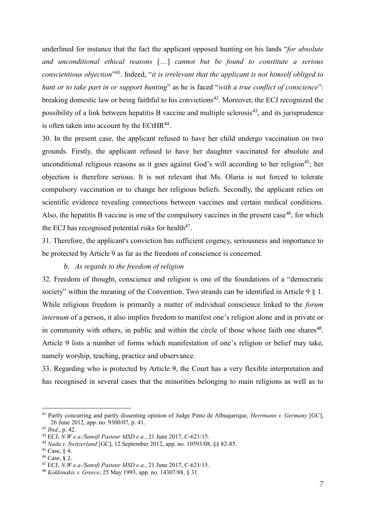underlined for instance that the fact the applicant opposed hunting on his lands "*for absolute and unconditional ethical reasons* […] *cannot but be found to constitute a serious conscientious objection*" <sup>41</sup>. Indeed, "*it is irrelevant that the applicant is not himself obliged to hunt or to take part in or support hunting*" as he is faced "*with a true conflict of conscience*": breaking domestic law or being faithful to his convictions<sup>42</sup>. Moreover, the ECJ recognized the possibility of a link between hepatitis B vaccine and multiple sclerosis<sup>43</sup>, and its jurisprudence is often taken into account by the  $ECHR<sup>44</sup>$ .

30. In the present case, the applicant refused to have her child undergo vaccination on two grounds. Firstly, the applicant refused to have her daughter vaccinated for absolute and unconditional religious reasons as it goes against God's will according to her religion<sup>45</sup>; her objection is therefore serious. It is not relevant that Ms. Olaria is not forced to tolerate compulsory vaccination or to change her religious beliefs. Secondly, the applicant relies on scientific evidence revealing connections between vaccines and certain medical conditions. Also, the hepatitis B vaccine is one of the compulsory vaccines in the present case<sup>46</sup>, for which the ECJ has recognised potential risks for health<sup>47</sup>.

31. Therefore, the applicant's conviction has sufficient cogency, seriousness and importance to be protected by Article 9 as far as the freedom of conscience is concerned.

#### *b. As regards to the freedom of religion*

32. Freedom of thought, conscience and religion is one of the foundations of a "democratic society" within the meaning of the Convention. Two strands can be identified in Article 9 § 1. While religious freedom is primarily a matter of individual conscience linked to the *forum internum* of a person, it also implies freedom to manifest one's religion alone and in private or in community with others, in public and within the circle of those whose faith one shares<sup>48</sup>. Article 9 lists a number of forms which manifestation of one's religion or belief may take, namely worship, teaching, practice and observance.

33. Regarding who is protected by Article 9, the Court has a very flexible interpretation and has recognised in several cases that the minorities belonging to main religions as well as to

<sup>41</sup> Partly concurring and partly dissenting opinion of Judge Pinto de Albuquerque, *Herrmann v. Germany* [GC], 26 June 2012, app. no. 9300/07, p. 41.

<sup>42</sup> *Ibid*., p. 42.

<sup>43</sup> ECJ, *N.W e.a./Sanofi Pasteur MSD e.a.*, 21 June 2017, C-621/15.

<sup>44</sup> *Nada v. Switzerland* [GC], 12 September 2012, app. no. 10593/08, §§ 82-85.

 $45$  Case,  $8$  4.

<sup>46</sup> Case, § 2.

<sup>47</sup> ECJ, *N.W e.a./Sanofi Pasteur MSD e.a.*, 21 June 2017, C-621/15.

<sup>48</sup> *Kokkinakis v. Greece*, 25 May 1993, app. no. 14307/88, § 31.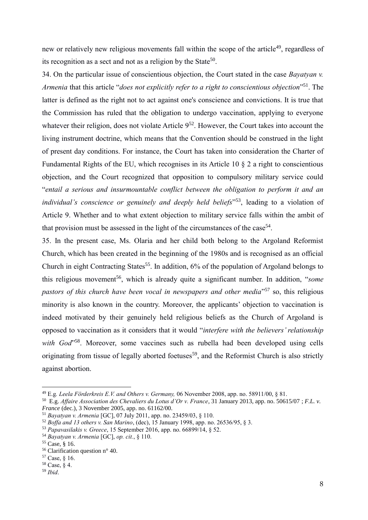new or relatively new religious movements fall within the scope of the article<sup>49</sup>, regardless of its recognition as a sect and not as a religion by the State<sup>50</sup>.

34. On the particular issue of conscientious objection, the Court stated in the case *Bayatyan v. Armenia* that this article "*does not explicitly refer to a right to conscientious objection*" <sup>51</sup>. The latter is defined as the right not to act against one's conscience and convictions. It is true that the Commission has ruled that the obligation to undergo vaccination, applying to everyone whatever their religion, does not violate Article  $9<sup>52</sup>$ . However, the Court takes into account the living instrument doctrine, which means that the Convention should be construed in the light of present day conditions. For instance, the Court has taken into consideration the Charter of Fundamental Rights of the EU, which recognises in its Article 10 § 2 a right to conscientious objection, and the Court recognized that opposition to compulsory military service could "*entail a serious and insurmountable conflict between the obligation to perform it and an individual's conscience or genuinely and deeply held beliefs*" <sup>53</sup>, leading to a violation of Article 9. Whether and to what extent objection to military service falls within the ambit of that provision must be assessed in the light of the circumstances of the case<sup>54</sup>.

35. In the present case, Ms. Olaria and her child both belong to the Argoland Reformist Church, which has been created in the beginning of the 1980s and is recognised as an official Church in eight Contracting States<sup>55</sup>. In addition, 6% of the population of Argoland belongs to this religious movement<sup>56</sup>, which is already quite a significant number. In addition, "*some* pastors of this church have been vocal in newspapers and other media<sup>357</sup> so, this religious minority is also known in the country. Moreover, the applicants' objection to vaccination is indeed motivated by their genuinely held religious beliefs as the Church of Argoland is opposed to vaccination as it considers that it would "*interfere with the believers' relationship*  with God<sup>1,58</sup>. Moreover, some vaccines such as rubella had been developed using cells originating from tissue of legally aborted foetuses<sup>59</sup>, and the Reformist Church is also strictly against abortion.

<sup>49</sup> E.g*. Leela Förderkreis E.V. and Others v. Germany,* 06 November 2008, app. no. 58911/00, § 81.

<sup>50</sup> E.g. *Affaire Association des Chevaliers du Lotus d'Or v. France*, 31 January 2013, app. no. 50615/07 ; *F.L. v. France* (dec.), 3 November 2005, app. no. 61162/00.

<sup>51</sup> *Bayatyan v. Armenia* [GC], 07 July 2011, app. no. 23459/03, § 110.

<sup>52</sup> *Boffa and 13 others v. San Marino*, (dec), 15 January 1998, app. no. 26536/95, § 3.

<sup>53</sup> *Papavasilakis v. Greece*, 15 September 2016, app. no. 66899/14, § 52.

<sup>54</sup> *Bayatyan v. Armenia* [GC], *op. cit.*, § 110.

<sup>55</sup> Case, § 16.

<sup>56</sup> Clarification question n° 40.

<sup>57</sup> Case, § 16.

<sup>58</sup> Case, § 4.

<sup>59</sup> *Ibid*.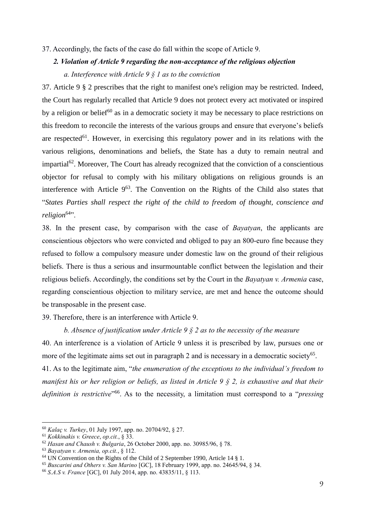#### 37. Accordingly, the facts of the case do fall within the scope of Article 9.

# *2. Violation of Article 9 regarding the non-acceptance of the religious objection a. Interference with Article 9 § 1 as to the conviction*

37. Article 9 § 2 prescribes that the right to manifest one's religion may be restricted. Indeed, the Court has regularly recalled that Article 9 does not protect every act motivated or inspired by a religion or belief<sup>60</sup> as in a democratic society it may be necessary to place restrictions on this freedom to reconcile the interests of the various groups and ensure that everyone's beliefs are respected<sup>61</sup>. However, in exercising this regulatory power and in its relations with the various religions, denominations and beliefs, the State has a duty to remain neutral and impartial<sup>62</sup>. Moreover, The Court has already recognized that the conviction of a conscientious objector for refusal to comply with his military obligations on religious grounds is an interference with Article  $9^{63}$ . The Convention on the Rights of the Child also states that "*States Parties shall respect the right of the child to freedom of thought, conscience and religion*<sup>64</sup>".

38. In the present case, by comparison with the case of *Bayatyan*, the applicants are conscientious objectors who were convicted and obliged to pay an 800-euro fine because they refused to follow a compulsory measure under domestic law on the ground of their religious beliefs. There is thus a serious and insurmountable conflict between the legislation and their religious beliefs. Accordingly, the conditions set by the Court in the *Bayatyan v. Armenia* case, regarding conscientious objection to military service, are met and hence the outcome should be transposable in the present case.

39. Therefore, there is an interference with Article 9.

*b. Absence of justification under Article 9 § 2 as to the necessity of the measure*

40. An interference is a violation of Article 9 unless it is prescribed by law, pursues one or more of the legitimate aims set out in paragraph 2 and is necessary in a democratic society<sup>65</sup>. 41. As to the legitimate aim, "*the enumeration of the exceptions to the individual's freedom to manifest his or her religion or beliefs, as listed in Article 9 § 2, is exhaustive and that their definition is restrictive*" <sup>66</sup>. As to the necessity, a limitation must correspond to a "*pressing* 

<sup>60</sup> *Kalaç v. Turkey*, 01 July 1997, app. no. 20704/92, § 27.

<sup>61</sup> *Kokkinakis v. Greece*, *op.cit.*, § 33.

<sup>62</sup> *Hasan and Chaush v. Bulgaria*, 26 October 2000, app. no. 30985/96, § 78.

<sup>63</sup> *Bayatyan v. Armenia, op.cit.*, § 112.

<sup>64</sup> UN Convention on the Rights of the Child of 2 September 1990, Article 14 § 1.

<sup>65</sup> *Buscarini and Others v. San Marino* [GC], 18 February 1999, app. no. 24645/94, § 34.

<sup>66</sup> *S.A.S v. France* [GC], 01 July 2014, app. no. 43835/11, § 113.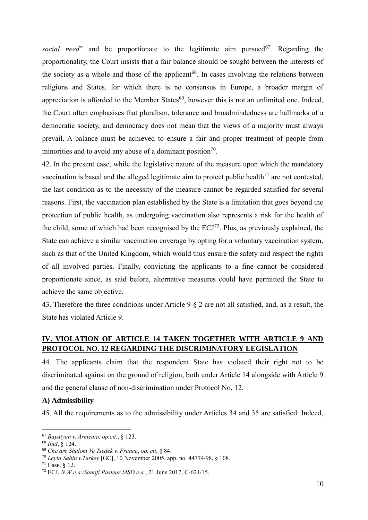*social need*" and be proportionate to the legitimate aim pursued<sup>67</sup>. Regarding the proportionality, the Court insists that a fair balance should be sought between the interests of the society as a whole and those of the applicant<sup>68</sup>. In cases involving the relations between religions and States, for which there is no consensus in Europe, a broader margin of appreciation is afforded to the Member States<sup>69</sup>, however this is not an unlimited one. Indeed, the Court often emphasises that pluralism, tolerance and broadmindedness are hallmarks of a democratic society, and democracy does not mean that the views of a majority must always prevail. A balance must be achieved to ensure a fair and proper treatment of people from minorities and to avoid any abuse of a dominant position<sup>70</sup>.

42. In the present case, while the legislative nature of the measure upon which the mandatory vaccination is based and the alleged legitimate aim to protect public health<sup> $71$ </sup> are not contested. the last condition as to the necessity of the measure cannot be regarded satisfied for several reasons. First, the vaccination plan established by the State is a limitation that goes beyond the protection of public health, as undergoing vaccination also represents a risk for the health of the child, some of which had been recognised by the  $ECJ^{72}$ . Plus, as previously explained, the State can achieve a similar vaccination coverage by opting for a voluntary vaccination system, such as that of the United Kingdom, which would thus ensure the safety and respect the rights of all involved parties. Finally, convicting the applicants to a fine cannot be considered proportionate since, as said before, alternative measures could have permitted the State to achieve the same objective.

43. Therefore the three conditions under Article 9 § 2 are not all satisfied, and, as a result, the State has violated Article 9.

# <span id="page-14-0"></span>**IV. VIOLATION OF ARTICLE 14 TAKEN TOGETHER WITH ARTICLE 9 AND PROTOCOL NO. 12 REGARDING THE DISCRIMINATORY LEGISLATION**

44. The applicants claim that the respondent State has violated their right not to be discriminated against on the ground of religion, both under Article 14 alongside with Article 9 and the general clause of non-discrimination under Protocol No. 12.

#### <span id="page-14-1"></span>**A) Admissibility**

45. All the requirements as to the admissibility under Articles 34 and 35 are satisfied. Indeed,

<sup>67</sup> *Bayatyan v. Armenia, op.cit.*, § 123.

<sup>68</sup> *Ibid*, § 124.

<sup>69</sup> *Cha'are Shalom Ve Tsedek v. France*, *op. cit*, § 84.

<sup>70</sup> *Leyla Sahin v.Turkey* [GC], 10 November 2005, app. no. 44774/98, § 108.

<sup>71</sup> Case, § 12.

<sup>72</sup> ECJ, *N.W e.a./Sanofi Pasteur MSD e.a.*, 21 June 2017, C-621/15.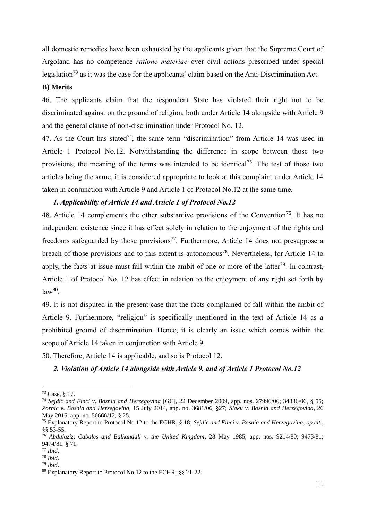all domestic remedies have been exhausted by the applicants given that the Supreme Court of Argoland has no competence *ratione materiae* over civil actions prescribed under special legislation<sup>73</sup> as it was the case for the applicants' claim based on the Anti-Discrimination Act.

### <span id="page-15-0"></span>**B) Merits**

46. The applicants claim that the respondent State has violated their right not to be discriminated against on the ground of religion, both under Article 14 alongside with Article 9 and the general clause of non-discrimination under Protocol No. 12.

47. As the Court has stated<sup>74</sup>, the same term "discrimination" from Article 14 was used in Article 1 Protocol No.12. Notwithstanding the difference in scope between those two provisions, the meaning of the terms was intended to be identical<sup>75</sup>. The test of those two articles being the same, it is considered appropriate to look at this complaint under Article 14 taken in conjunction with Article 9 and Article 1 of Protocol No.12 at the same time.

#### *1. Applicability of Article 14 and Article 1 of Protocol No.12*

48. Article 14 complements the other substantive provisions of the Convention<sup>76</sup>. It has no independent existence since it has effect solely in relation to the enjoyment of the rights and freedoms safeguarded by those provisions<sup>77</sup>. Furthermore, Article 14 does not presuppose a breach of those provisions and to this extent is autonomous<sup>78</sup>. Nevertheless, for Article 14 to apply, the facts at issue must fall within the ambit of one or more of the latter<sup>79</sup>. In contrast, Article 1 of Protocol No. 12 has effect in relation to the enjoyment of any right set forth by  $law<sup>80</sup>$ .

49. It is not disputed in the present case that the facts complained of fall within the ambit of Article 9. Furthermore, "religion" is specifically mentioned in the text of Article 14 as a prohibited ground of discrimination. Hence, it is clearly an issue which comes within the scope of Article 14 taken in conjunction with Article 9.

50. Therefore, Article 14 is applicable, and so is Protocol 12.

#### *2. Violation of Article 14 alongside with Article 9, and of Article 1 Protocol No.12*

<sup>73</sup> Case, § 17.

<sup>74</sup> *Sejdic and Finci v. Bosnia and Herzegovina* [GC], 22 December 2009, app. nos. 27996/06; 34836/06, § 55; *Zornic v. Bosnia and Herzegovina*, 15 July 2014, app. no. 3681/06, §27; *Slaku v. Bosnia and Herzegovina*, 26 May 2016, app. no. 56666/12, § 25.

<sup>75</sup> Explanatory Report to Protocol No.12 to the ECHR, § 18; *Sejdic and Finci v. Bosnia and Herzegovina*, *op.cit*., §§ 53-55.

<sup>76</sup> *Abdulaziz, Cabales and Balkandali v. the United Kingdom*, 28 May 1985, app. nos. 9214/80; 9473/81; 9474/81, § 71.

<sup>77</sup> *Ibid*.

<sup>78</sup> *Ibid*. <sup>79</sup> *Ibid*.

<sup>80</sup> Explanatory Report to Protocol No.12 to the ECHR, §§ 21-22.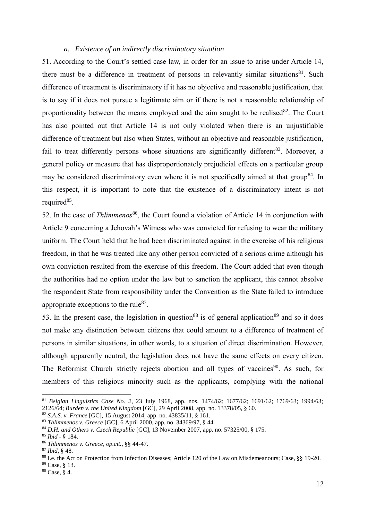#### *a. Existence of an indirectly discriminatory situation*

51. According to the Court's settled case law, in order for an issue to arise under Article 14, there must be a difference in treatment of persons in relevantly similar situations<sup>81</sup>. Such difference of treatment is discriminatory if it has no objective and reasonable justification, that is to say if it does not pursue a legitimate aim or if there is not a reasonable relationship of proportionality between the means employed and the aim sought to be realised $82$ . The Court has also pointed out that Article 14 is not only violated when there is an unjustifiable difference of treatment but also when States, without an objective and reasonable justification, fail to treat differently persons whose situations are significantly different<sup>83</sup>. Moreover, a general policy or measure that has disproportionately prejudicial effects on a particular group may be considered discriminatory even where it is not specifically aimed at that group<sup>84</sup>. In this respect, it is important to note that the existence of a discriminatory intent is not required<sup>85</sup>.

52. In the case of *Thlimmenos*<sup>86</sup>, the Court found a violation of Article 14 in conjunction with Article 9 concerning a Jehovah's Witness who was convicted for refusing to wear the military uniform. The Court held that he had been discriminated against in the exercise of his religious freedom, in that he was treated like any other person convicted of a serious crime although his own conviction resulted from the exercise of this freedom. The Court added that even though the authorities had no option under the law but to sanction the applicant, this cannot absolve the respondent State from responsibility under the Convention as the State failed to introduce appropriate exceptions to the rule $^{87}$ .

53. In the present case, the legislation in question<sup>88</sup> is of general application<sup>89</sup> and so it does not make any distinction between citizens that could amount to a difference of treatment of persons in similar situations, in other words, to a situation of direct discrimination. However, although apparently neutral, the legislation does not have the same effects on every citizen. The Reformist Church strictly rejects abortion and all types of vaccines<sup>90</sup>. As such, for members of this religious minority such as the applicants, complying with the national

<sup>81</sup> *Belgian Linguistics Case No. 2*, 23 July 1968, app. nos. 1474/62; 1677/62; 1691/62; 1769/63; 1994/63; 2126/64; *Burden v. the United Kingdom* [GC], 29 April 2008, app. no. 13378/05, § 60.

<sup>82</sup> *S.A.S. v. France* [GC], 15 August 2014, app. no. 43835/11, § 161.

<sup>83</sup> *Thlimmenos v. Greece* [GC], 6 April 2000, app. no. 34369/97, § 44.

<sup>84</sup> *D.H. and Others v. Czech Republic* [GC], 13 November 2007, app. no. 57325/00, § 175.

<sup>85</sup> *Ibid* - § 184.

<sup>86</sup> *Thlimmenos v. Greece*, *op.cit.*, §§ 44-47.

<sup>87</sup> *Ibid*, § 48.

<sup>88</sup> I.e. the Act on Protection from Infection Diseases; Article 120 of the Law on Misdemeanours; Case, §§ 19-20.

<sup>89</sup> Case, § 13.

<sup>90</sup> Case, § 4.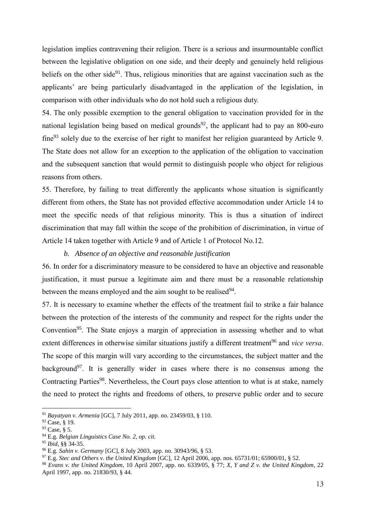legislation implies contravening their religion. There is a serious and insurmountable conflict between the legislative obligation on one side, and their deeply and genuinely held religious beliefs on the other side<sup>91</sup>. Thus, religious minorities that are against vaccination such as the applicants' are being particularly disadvantaged in the application of the legislation, in comparison with other individuals who do not hold such a religious duty.

54. The only possible exemption to the general obligation to vaccination provided for in the national legislation being based on medical grounds<sup>92</sup>, the applicant had to pay an 800-euro  $fine<sup>93</sup>$  solely due to the exercise of her right to manifest her religion guaranteed by Article 9. The State does not allow for an exception to the application of the obligation to vaccination and the subsequent sanction that would permit to distinguish people who object for religious reasons from others.

55. Therefore, by failing to treat differently the applicants whose situation is significantly different from others, the State has not provided effective accommodation under Article 14 to meet the specific needs of that religious minority. This is thus a situation of indirect discrimination that may fall within the scope of the prohibition of discrimination, in virtue of Article 14 taken together with Article 9 and of Article 1 of Protocol No.12.

### *b. Absence of an objective and reasonable justification*

56. In order for a discriminatory measure to be considered to have an objective and reasonable justification, it must pursue a legitimate aim and there must be a reasonable relationship between the means employed and the aim sought to be realised<sup>94</sup>.

57. It is necessary to examine whether the effects of the treatment fail to strike a fair balance between the protection of the interests of the community and respect for the rights under the Convention<sup>95</sup>. The State enjoys a margin of appreciation in assessing whether and to what extent differences in otherwise similar situations justify a different treatment<sup>96</sup> and *vice versa*. The scope of this margin will vary according to the circumstances, the subject matter and the background<sup>97</sup>. It is generally wider in cases where there is no consensus among the Contracting Parties<sup>98</sup>. Nevertheless, the Court pays close attention to what is at stake, namely the need to protect the rights and freedoms of others, to preserve public order and to secure

<sup>91</sup> *Bayatyan v. Armenia* [GC], 7 July 2011, app. no. 23459/03, § 110.

<sup>92</sup> Case, § 19.

<sup>93</sup> Case, § 5.

<sup>94</sup> E.g. *Belgian Linguistics Case No. 2, op. cit.*

<sup>95</sup> *Ibid*, §§ 34-35.

<sup>96</sup> E.g. *Sahin v. Germany* [GC], 8 July 2003, app. no. 30943/96, § 53.

<sup>97</sup> E.g. *Stec and Others v. the United Kingdom* [GC], 12 April 2006, app. nos. 65731/01; 65900/01, § 52.

<sup>98</sup> *Evans v. the United Kingdom*, 10 April 2007, app. no. 6339/05, § 77; *X, Y and Z v. the United Kingdom*, 22 April 1997, app. no. 21830/93, § 44.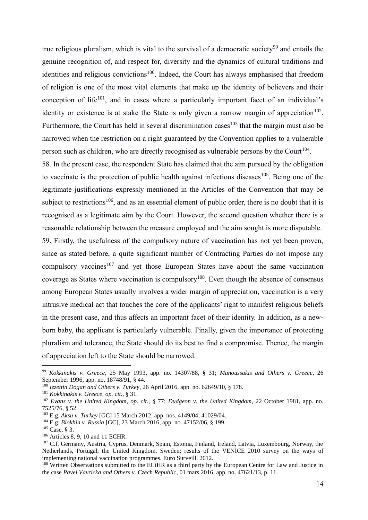true religious pluralism, which is vital to the survival of a democratic society<sup>99</sup> and entails the genuine recognition of, and respect for, diversity and the dynamics of cultural traditions and identities and religious convictions<sup>100</sup>. Indeed, the Court has always emphasised that freedom of religion is one of the most vital elements that make up the identity of believers and their conception of life<sup>101</sup>, and in cases where a particularly important facet of an individual's identity or existence is at stake the State is only given a narrow margin of appreciation<sup>102</sup>. Furthermore, the Court has held in several discrimination cases<sup>103</sup> that the margin must also be narrowed when the restriction on a right guaranteed by the Convention applies to a vulnerable person such as children, who are directly recognised as vulnerable persons by the Court<sup>104</sup>.

58. In the present case, the respondent State has claimed that the aim pursued by the obligation to vaccinate is the protection of public health against infectious diseases  $105$ . Being one of the legitimate justifications expressly mentioned in the Articles of the Convention that may be subject to restrictions<sup>106</sup>, and as an essential element of public order, there is no doubt that it is recognised as a legitimate aim by the Court. However, the second question whether there is a reasonable relationship between the measure employed and the aim sought is more disputable.

59. Firstly, the usefulness of the compulsory nature of vaccination has not yet been proven, since as stated before, a quite significant number of Contracting Parties do not impose any compulsory vaccines<sup>107</sup> and yet those European States have about the same vaccination coverage as States where vaccination is compulsory<sup>108</sup>. Even though the absence of consensus among European States usually involves a wider margin of appreciation, vaccination is a very intrusive medical act that touches the core of the applicants' right to manifest religious beliefs in the present case, and thus affects an important facet of their identity. In addition, as a newborn baby, the applicant is particularly vulnerable. Finally, given the importance of protecting pluralism and tolerance, the State should do its best to find a compromise. Thence, the margin of appreciation left to the State should be narrowed.

<sup>99</sup> *Kokkinakis v. Greece*, 25 May 1993, app. no. 14307/88, § 31; *Manoussakis and Others v. Greece*, 26 September 1996, app. no. 18748/91, § 44.

<sup>100</sup> *Izzettin Dogan and Others v. Turkey*, 26 April 2016, app. no. 62649/10, § 178.

<sup>101</sup> *Kokkinakis v. Greece*, *op. cit*., § 31.

<sup>102</sup> *Evans v. the United Kingdom, op. cit*., § 77; *Dudgeon v. the United Kingdom*, 22 October 1981, app. no. 7525/76, § 52.

<sup>103</sup> E.g. *Aksu v. Turkey* [GC] 15 March 2012, app. nos. 4149/04; 41029/04.

<sup>104</sup> E.g. *Blokhin v. Russia* [GC], 23 March 2016, app. no. 47152/06, § 199.

 $105$  Case, § 3.

<sup>106</sup> Articles 8, 9, 10 and 11 ECHR.

<sup>&</sup>lt;sup>107</sup> C.f. Germany, Austria, Cyprus, Denmark, Spain, Estonia, Finland, Ireland, Latvia, Luxembourg, Norway, the Netherlands, Portugal, the United Kingdom, Sweden; results of the VENICE 2010 survey on the ways of implementing national vaccination programmes. Euro Surveill. 2012.

<sup>&</sup>lt;sup>108</sup> Written Observations submitted to the ECtHR as a third party by the European Centre for Law and Justice in the case *Pavel Vavricka and Others v. Czech Republic*, 01 mars 2016, app. no. 47621/13, p. 11.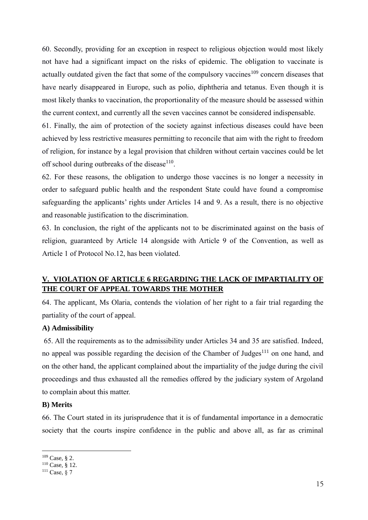60. Secondly, providing for an exception in respect to religious objection would most likely not have had a significant impact on the risks of epidemic. The obligation to vaccinate is actually outdated given the fact that some of the compulsory vaccines<sup>109</sup> concern diseases that have nearly disappeared in Europe, such as polio, diphtheria and tetanus. Even though it is most likely thanks to vaccination, the proportionality of the measure should be assessed within the current context, and currently all the seven vaccines cannot be considered indispensable.

61. Finally, the aim of protection of the society against infectious diseases could have been achieved by less restrictive measures permitting to reconcile that aim with the right to freedom of religion, for instance by a legal provision that children without certain vaccines could be let off school during outbreaks of the disease<sup>110</sup>.

62. For these reasons, the obligation to undergo those vaccines is no longer a necessity in order to safeguard public health and the respondent State could have found a compromise safeguarding the applicants' rights under Articles 14 and 9. As a result, there is no objective and reasonable justification to the discrimination.

63. In conclusion, the right of the applicants not to be discriminated against on the basis of religion, guaranteed by Article 14 alongside with Article 9 of the Convention, as well as Article 1 of Protocol No.12, has been violated.

# <span id="page-19-0"></span>**V. VIOLATION OF ARTICLE 6 REGARDING THE LACK OF IMPARTIALITY OF THE COURT OF APPEAL TOWARDS THE MOTHER**

64. The applicant, Ms Olaria, contends the violation of her right to a fair trial regarding the partiality of the court of appeal.

#### <span id="page-19-1"></span>**A) Admissibility**

65. All the requirements as to the admissibility under Articles 34 and 35 are satisfied. Indeed, no appeal was possible regarding the decision of the Chamber of Judges $111$  on one hand, and on the other hand, the applicant complained about the impartiality of the judge during the civil proceedings and thus exhausted all the remedies offered by the judiciary system of Argoland to complain about this matter.

#### <span id="page-19-2"></span>**B) Merits**

66. The Court stated in its jurisprudence that it is of fundamental importance in a democratic society that the courts inspire confidence in the public and above all, as far as criminal

<sup>109</sup> Case, § 2.

<sup>110</sup> Case, § 12.

<sup>111</sup> Case, § 7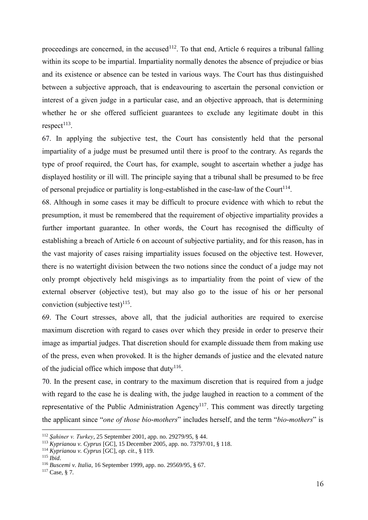proceedings are concerned, in the accused<sup>112</sup>. To that end, Article 6 requires a tribunal falling within its scope to be impartial. Impartiality normally denotes the absence of prejudice or bias and its existence or absence can be tested in various ways. The Court has thus distinguished between a subjective approach, that is endeavouring to ascertain the personal conviction or interest of a given judge in a particular case, and an objective approach, that is determining whether he or she offered sufficient guarantees to exclude any legitimate doubt in this  $respect<sup>113</sup>$ .

67. In applying the subjective test, the Court has consistently held that the personal impartiality of a judge must be presumed until there is proof to the contrary. As regards the type of proof required, the Court has, for example, sought to ascertain whether a judge has displayed hostility or ill will. The principle saying that a tribunal shall be presumed to be free of personal prejudice or partiality is long-established in the case-law of the Court<sup>114</sup>.

68. Although in some cases it may be difficult to procure evidence with which to rebut the presumption, it must be remembered that the requirement of objective impartiality provides a further important guarantee. In other words, the Court has recognised the difficulty of establishing a breach of Article 6 on account of subjective partiality, and for this reason, has in the vast majority of cases raising impartiality issues focused on the objective test. However, there is no watertight division between the two notions since the conduct of a judge may not only prompt objectively held misgivings as to impartiality from the point of view of the external observer (objective test), but may also go to the issue of his or her personal conviction (subjective test) $^{115}$ .

69. The Court stresses, above all, that the judicial authorities are required to exercise maximum discretion with regard to cases over which they preside in order to preserve their image as impartial judges. That discretion should for example dissuade them from making use of the press, even when provoked. It is the higher demands of justice and the elevated nature of the judicial office which impose that duty<sup>116</sup>.

70. In the present case, in contrary to the maximum discretion that is required from a judge with regard to the case he is dealing with, the judge laughed in reaction to a comment of the representative of the Public Administration Agency<sup>117</sup>. This comment was directly targeting the applicant since "*one of those bio-mothers*" includes herself, and the term "*bio-mothers*" is

<sup>112</sup> *Şahiner v. Turkey*, 25 September 2001, app. no. 29279/95, § 44.

<sup>113</sup> *Kyprianou v. Cyprus* [GC], 15 December 2005, app. no. 73797/01, § 118.

<sup>114</sup> *Kyprianou v. Cyprus* [GC], *op. cit*., § 119.

<sup>115</sup> *Ibid*.

<sup>116</sup> *Buscemi v. Italia*, 16 September 1999, app. no. 29569/95, § 67.

<sup>117</sup> Case, § 7*.*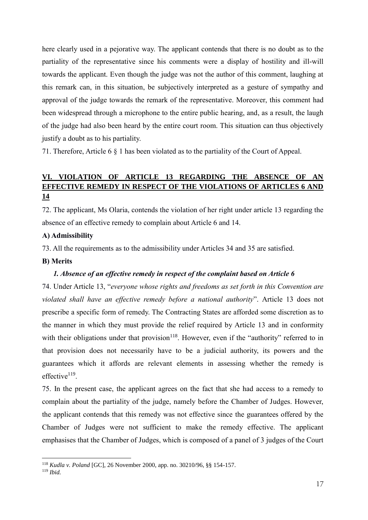here clearly used in a pejorative way. The applicant contends that there is no doubt as to the partiality of the representative since his comments were a display of hostility and ill-will towards the applicant. Even though the judge was not the author of this comment, laughing at this remark can, in this situation, be subjectively interpreted as a gesture of sympathy and approval of the judge towards the remark of the representative. Moreover, this comment had been widespread through a microphone to the entire public hearing, and, as a result, the laugh of the judge had also been heard by the entire court room. This situation can thus objectively justify a doubt as to his partiality.

71. Therefore, Article 6 § 1 has been violated as to the partiality of the Court of Appeal.

# <span id="page-21-0"></span>**VI. VIOLATION OF ARTICLE 13 REGARDING THE ABSENCE OF AN EFFECTIVE REMEDY IN RESPECT OF THE VIOLATIONS OF ARTICLES 6 AND 14**

72. The applicant, Ms Olaria, contends the violation of her right under article 13 regarding the absence of an effective remedy to complain about Article 6 and 14.

#### **A) Admissibility**

73. All the requirements as to the admissibility under Articles 34 and 35 are satisfied.

#### **B) Merits**

#### *1. Absence of an effective remedy in respect of the complaint based on Article 6*

74. Under Article 13, "*everyone whose rights and freedoms as set forth in this Convention are violated shall have an effective remedy before a national authority*". Article 13 does not prescribe a specific form of remedy. The Contracting States are afforded some discretion as to the manner in which they must provide the relief required by Article 13 and in conformity with their obligations under that provision<sup>118</sup>. However, even if the "authority" referred to in that provision does not necessarily have to be a judicial authority, its powers and the guarantees which it affords are relevant elements in assessing whether the remedy is effective<sup>119</sup>.

75. In the present case, the applicant agrees on the fact that she had access to a remedy to complain about the partiality of the judge, namely before the Chamber of Judges. However, the applicant contends that this remedy was not effective since the guarantees offered by the Chamber of Judges were not sufficient to make the remedy effective. The applicant emphasises that the Chamber of Judges, which is composed of a panel of 3 judges of the Court

<sup>118</sup> *Kudla v. Poland* [GC], 26 November 2000, app. no. 30210/96, §§ 154-157.

<sup>119</sup> *Ibid.*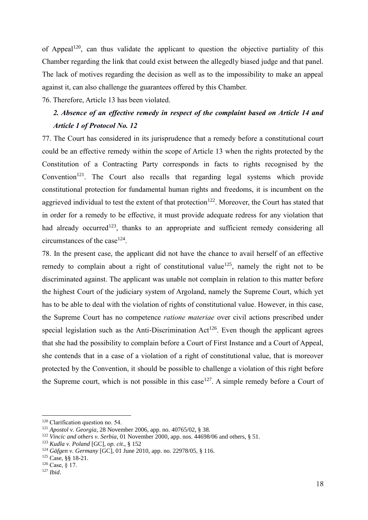of Appeal<sup>120</sup>, can thus validate the applicant to question the objective partiality of this Chamber regarding the link that could exist between the allegedly biased judge and that panel. The lack of motives regarding the decision as well as to the impossibility to make an appeal against it, can also challenge the guarantees offered by this Chamber.

76. Therefore, Article 13 has been violated.

# *2. Absence of an effective remedy in respect of the complaint based on Article 14 and Article 1 of Protocol No. 12*

77. The Court has considered in its jurisprudence that a remedy before a constitutional court could be an effective remedy within the scope of Article 13 when the rights protected by the Constitution of a Contracting Party corresponds in facts to rights recognised by the Convention<sup>121</sup>. The Court also recalls that regarding legal systems which provide constitutional protection for fundamental human rights and freedoms, it is incumbent on the aggrieved individual to test the extent of that protection<sup>122</sup>. Moreover, the Court has stated that in order for a remedy to be effective, it must provide adequate redress for any violation that had already occurred<sup>123</sup>, thanks to an appropriate and sufficient remedy considering all circumstances of the case<sup>124</sup>.

78. In the present case, the applicant did not have the chance to avail herself of an effective remedy to complain about a right of constitutional value<sup>125</sup>, namely the right not to be discriminated against. The applicant was unable not complain in relation to this matter before the highest Court of the judiciary system of Argoland, namely the Supreme Court, which yet has to be able to deal with the violation of rights of constitutional value. However, in this case, the Supreme Court has no competence *ratione materiae* over civil actions prescribed under special legislation such as the Anti-Discrimination  $Act^{126}$ . Even though the applicant agrees that she had the possibility to complain before a Court of First Instance and a Court of Appeal, she contends that in a case of a violation of a right of constitutional value, that is moreover protected by the Convention, it should be possible to challenge a violation of this right before the Supreme court, which is not possible in this case<sup>127</sup>. A simple remedy before a Court of

<sup>&</sup>lt;sup>120</sup> Clarification question no. 54.

<sup>121</sup> *Apostol v. Georgia*, 28 November 2006, app. no. 40765/02, § 38.

<sup>&</sup>lt;sup>122</sup> *Vincic and others v. Serbia*, 01 November 2000, app. nos. 44698/06 and others, § 51.

<sup>123</sup> *Kudla v. Poland* [GC], *op. cit*., § 152

<sup>124</sup> *Gäfgen v. Germany* [GC], 01 June 2010, app. no. 22978/05, § 116.

<sup>125</sup> Case, §§ 18-21.

 $126$  Case, § 17.

<sup>127</sup> *Ibid*.